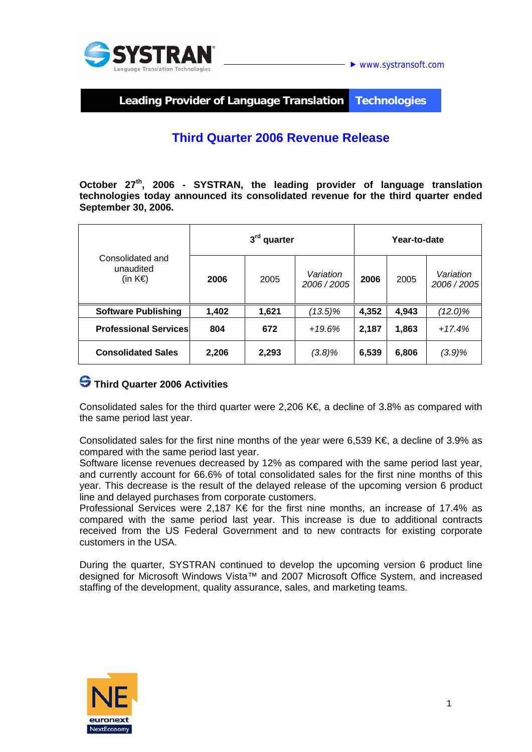

**Leading Provider of Language Translation Technologies** 

# **Third Quarter 2006 Revenue Release**

**October 27th, 2006 - SYSTRAN, the leading provider of language translation technologies today announced its consolidated revenue for the third quarter ended September 30, 2006.** 

| Consolidated and<br>unaudited<br>(in $K \in \mathbb{R}$ ) | 3 <sup>rd</sup> quarter |       |                        | Year-to-date |       |                        |
|-----------------------------------------------------------|-------------------------|-------|------------------------|--------------|-------|------------------------|
|                                                           | 2006                    | 2005  | Variation<br>2006/2005 | 2006         | 2005  | Variation<br>2006/2005 |
| <b>Software Publishing</b>                                | 1,402                   | 1,621 | $(13.5)\%$             | 4,352        | 4,943 | $(12.0)\%$             |
| <b>Professional Services</b>                              | 804                     | 672   | $+19.6%$               | 2,187        | 1,863 | $+17.4%$               |
| <b>Consolidated Sales</b>                                 | 2,206                   | 2,293 | $(3.8)\%$              | 6,539        | 6,806 | (3.9)%                 |

### **Third Quarter 2006 Activities**

Consolidated sales for the third quarter were 2,206 K $\epsilon$ , a decline of 3.8% as compared with the same period last year.

Consolidated sales for the first nine months of the year were 6,539 K€, a decline of 3.9% as compared with the same period last year.

Software license revenues decreased by 12% as compared with the same period last year, and currently account for 66.6% of total consolidated sales for the first nine months of this year. This decrease is the result of the delayed release of the upcoming version 6 product line and delayed purchases from corporate customers.

Professional Services were 2.187 K€ for the first nine months, an increase of 17.4% as compared with the same period last year. This increase is due to additional contracts received from the US Federal Government and to new contracts for existing corporate customers in the USA.

During the quarter, SYSTRAN continued to develop the upcoming version 6 product line designed for Microsoft Windows Vista™ and 2007 Microsoft Office System, and increased staffing of the development, quality assurance, sales, and marketing teams.